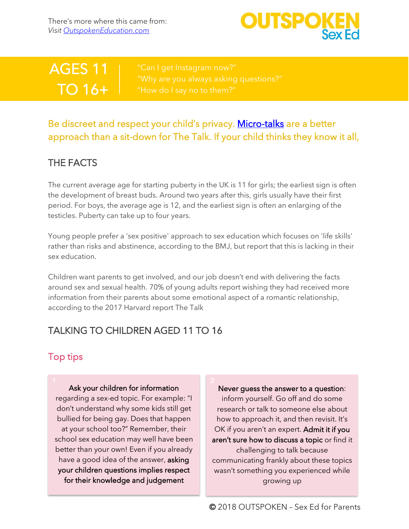

# AGES 11 TO 16+

# Be discreet and respect your child's privacy. [Micro-talks](https://offspring.lifehacker.com/have-sex-micro-talks-with-your-kid-1835887523) are a better approach than a sit-down for The Talk. If your child thinks they know it all,

# THE FACTS

The current average age for starting puberty in the UK is 11 for girls; the earliest sign is often the development of breast buds. Around two years after this, girls usually have their first period. For boys, the average age is 12, and the earliest sign is often an enlarging of the testicles. Puberty can take up to four years.

Young people prefer a 'sex positive' approach to sex education which focuses on 'life skills' rather than risks and abstinence, according to the BMJ, but report that this is lacking in their sex education.

Children want parents to get involved, and our job doesn't end with delivering the facts around sex and sexual health. 70% of young adults report wishing they had received more information from their parents about some emotional aspect of a romantic relationship, according to the 2017 Harvard report The Talk

# TALKING TO CHILDREN AGED 11 TO 16

# Top tips

#### Ask your children for information

regarding a sex-ed topic. For example: "I don't understand why some kids still get bullied for being gay. Does that happen at your school too?" Remember, their school sex education may well have been better than your own! Even if you already have a good idea of the answer, asking your children questions implies respect for their knowledge and judgement

Never guess the answer to a question: inform yourself. Go off and do some research or talk to someone else about how to approach it, and then revisit. It's OK if you aren't an expert. Admit it if you aren't sure how to discuss a topic or find it challenging to talk because communicating frankly about these topics wasn't something you experienced while growing up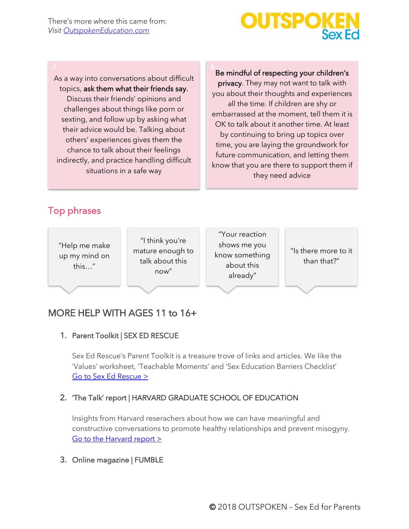There's more where this came from: *Visi[t OutspokenEducation.com](http://www.outspokeneducation.com/)*



As a way into conversations about difficult topics, ask them what their friends say. Discuss their friends' opinions and challenges about things like porn or sexting, and follow up by asking what their advice would be. Talking about others' experiences gives them the chance to talk about their feelings indirectly, and practice handling difficult situations in a safe way

#### Be mindful of respecting your children's 4

privacy. They may not want to talk with you about their thoughts and experiences all the time. If children are shy or embarrassed at the moment, tell them it is OK to talk about it another time. At least by continuing to bring up topics over time, you are laying the groundwork for future communication, and letting them know that you are there to support them if they need advice

## Top phrases

"Help me make up my mind on this…"

"I think you're mature enough to talk about this now"

"Your reaction shows me you know something about this already"

"Is there more to it than that?"

## MORE HELP WITH AGES 11 to 16+

#### 1. Parent Toolkit | SEX ED RESCUE

Sex Ed Rescue's Parent Toolkit is a treasure trove of links and articles. We like the 'Values' worksheet, 'Teachable Moments' and 'Sex Education Barriers Checklist' [Go to Sex Ed Rescue](https://sexedrescue.com/toolkit/) >

#### 2. 'The Talk' report | HARVARD GRADUATE SCHOOL OF EDUCATION

Insights from Harvard reserachers about how we can have meaningful and constructive conversations to promote healthy relationships and prevent misogyny. [Go to the Harvard](https://mcc.gse.harvard.edu/reports/the-talk) report >

#### 3. Online magazine | FUMBLE